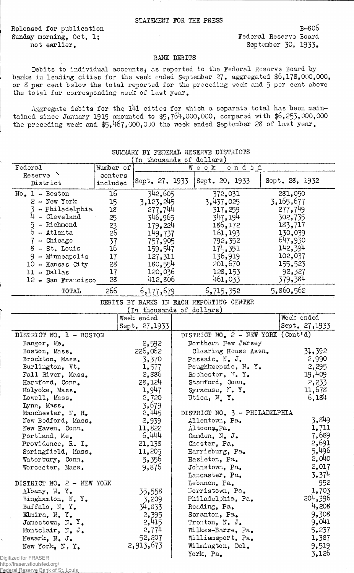Released for publication Sunday morning, Oct, 1; not earlier.

Federal Reserve Bank of St. Louis

B-S06 Federal Reserve Board September 30, 1933.

## BANK DEBITS

Debits to individual accounts, as reported to the Federal Reserve Board by banks in leading cities for the week ended September 27, aggregated \$6,178,000,000, or 8 per cent below the total reported for the preceding week and 5 per cent above the total for corresponding week of last year.

Aggregate debits for the 141 cities for which a separate total has been maintained since January 1919 amounted to \$5,764,000,000, compared with \$6,253,000,000 the preceding week and  $$5,467,000,000$  the week ended September 28 of last year.

| Federal                                               | Number of |                           | Week                                     | endod |                                    |  |
|-------------------------------------------------------|-----------|---------------------------|------------------------------------------|-------|------------------------------------|--|
| Reserve <sup>1</sup>                                  | centers   |                           |                                          |       |                                    |  |
| District                                              | included  | Sept. 27, 1933            | Sept. 20, 1933                           |       | Sept. 28, 1932                     |  |
| $No. 1 - Boston$                                      | 16        | 342,605                   | 372,031                                  |       | 281,050                            |  |
| $2 - New York$                                        | 15        | 3,123,245                 | 3,437,025                                |       | 3,165,677                          |  |
| - Philadelphia                                        | 18        | 277,744                   | 317,259                                  |       | 277,749                            |  |
| $4$ - Cleveland                                       | 25        | 346,965                   | 347,194                                  |       | 302,735                            |  |
| 5 - Richmond                                          | 23        | 179,224                   | 186,172                                  |       | 183,717                            |  |
| $6 -$ Atlanta                                         | 26        | 149,737                   | 161, 193                                 |       | 130,039                            |  |
| $7 -$ Chicago                                         | 37        | 757,905                   | 792,352                                  |       | 647,930                            |  |
| 8 - St. Louis                                         | 16        | 159,547                   | 174,351                                  |       | 142,394                            |  |
| 9 - Minneapolis                                       | 17        | 127,311                   | 136,919                                  |       | 102,037                            |  |
| 10 - Kansas City                                      | 28        | 180,554                   | 201,670                                  |       | 155,523                            |  |
| 11 - Dallas                                           | 17        | 120,036                   | 128,153                                  |       | 92,327                             |  |
| 12 - San Francisco                                    | 28        | 412,806                   | 461,033                                  |       | 379,384                            |  |
| TOTAL                                                 | 266       | 6,177,679                 | 6,715,352                                |       | 5,860,562                          |  |
|                                                       |           |                           | DEBITS BY BANKS IN EACH REPORTING CENTER |       |                                    |  |
|                                                       |           | (In thousands of dollars) |                                          |       |                                    |  |
|                                                       |           | Week ended                |                                          |       | Weel: ended                        |  |
|                                                       |           | Sept. 27,1933             |                                          |       | Sept. 27,1933                      |  |
| DISTRICT NO. 1 - BOSTON                               |           |                           |                                          |       | DISTRICT MO. 2 - NEW YORK (Cont'd) |  |
| Bangor, Me.                                           |           | 2,592                     | Northern New Jersey                      |       |                                    |  |
| Boston, Mass.                                         |           | 226,062                   | Clearing House Assn.                     |       | 31,392                             |  |
| Brockton, Mass.                                       |           | 3,370                     | Passaic, N. J.                           |       | 2,990                              |  |
| Burlington, Vt.                                       |           | 1,577                     | Poughkeepsie, N.Y.                       |       | 2,295                              |  |
| Fall River, Mass.                                     |           | 2,886                     | Rochester, N.Y.                          |       | 19,409                             |  |
| Hartford, Conn.                                       |           | 28,124                    | Stamford, Comm.                          |       | 2,233                              |  |
| Holyoke, Mass.                                        |           | 1,947                     | Syracuse, N.Y.                           |       | 11,678                             |  |
| Lowell, Mass.                                         |           | 2,720                     | Utica, N.Y.                              |       | 6,184                              |  |
| Lynn, Mass.                                           |           | 3,679                     |                                          |       |                                    |  |
| Manchester, N. H.                                     |           | 2,445                     | DISTRICT NO. 3 - PHILADELPHIA            |       |                                    |  |
| New Bedford, Mass.                                    |           | 2,939                     | Allentown, Pa.                           |       | 3,849                              |  |
| New Haven, Conn.                                      |           | 11,822                    | Altoona, Pa.                             |       | 1,711                              |  |
| Portland, Me.                                         |           | 6,444                     | Camden, N. J.                            |       | 7,689                              |  |
| Providence, R. I.                                     |           | 21,138                    | Chester, Pa.                             |       | 2,691                              |  |
| Springfield, Mass.                                    |           | 11,205                    | Harrisburg, Pa.                          |       | 5,496                              |  |
| Waterbury, Conn.                                      |           | 5,356                     | Hazleton, Pa.                            |       | 2,040                              |  |
| Worcester, Mass.                                      |           | 9,876                     | Johnstown, Pa.                           |       | 2,017                              |  |
|                                                       |           |                           | Lancaster, Pa.                           |       | 3,374                              |  |
| DISTRICT NO. 2 - NEW YORK                             |           |                           | Lebanon, Pa.                             |       | 952                                |  |
| Albany, N. Y.                                         |           | 35,558                    | Morristown, Pa.                          |       | 1,703                              |  |
| Binghamton, N.Y.                                      |           | 3,209                     | Philadelphia, Pa.                        |       | 204,396                            |  |
| Buffalo, N.Y.                                         |           | 34,833                    | Reading, Pa.                             |       | 4,208                              |  |
| Elmira, N.Y.                                          |           | 2,395                     | Scranton, Pa.                            |       | 9,308                              |  |
| Jamestown, $N_{\bullet}$ $Y_{\bullet}$                |           | 2,415                     | Trenton, N. J.                           |       | 9,041                              |  |
| Montclair, N. J.                                      |           | 2,774                     | Wilkes-Barre, Pa.                        |       | 5,237                              |  |
|                                                       |           | 52,207                    | Williamsport, Pa.                        |       | 1,387                              |  |
| Newark, N. J.                                         |           | 2,913,673                 | Wilmington, Del.                         |       | 9,519                              |  |
| New York, N.Y.                                        |           |                           | York, Pa.                                |       | 3,126                              |  |
| Digitized for FRASER<br>http://fraser.stlouisfed.org/ |           |                           |                                          |       |                                    |  |

## SUMMARY BY FEDERAL RESERVE DISTRICTS<br>(In thousands of dollars)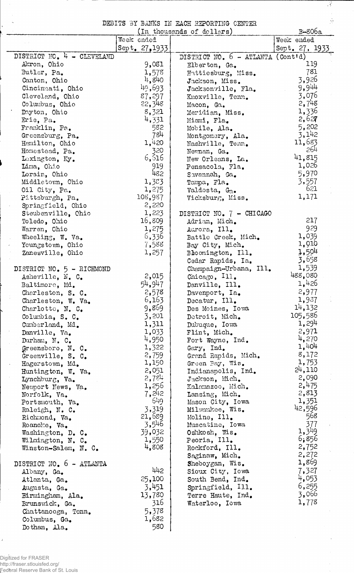DEBITS BY BANKS IN EACH REPORTING CENTER

्र

 $\tilde{\mathcal{D}}$ 

|                            |                | (In thousands of dollars)           | B-806a         |
|----------------------------|----------------|-------------------------------------|----------------|
|                            | Week ended     |                                     | Week ended     |
|                            | Sept. 27, 1933 |                                     | Sept. 27, 1933 |
| DISTRICT NO. 4 - CLEVELAND |                | DISTRICT NO. $6 - ATLANTA$ (Cont'd) |                |
| Akron, Ohio                | 9,081          | Elberton, Ga.                       | 119            |
| Butler, Pa.                | 1,578          | Hattiesburg, Miss.                  | 781            |
| Canton, Ohio               | 4,840          | Jackson, Miss.                      | 3,926          |
| Cincinnati, Ohio           | 40,693         | Jacksonville, Fla.                  | 9,944          |
| Cleveland, Ohio            | 87,297         | Knoxville, Tenn.                    | 3,076          |
| Columbus, Ohio             | 22,348         | Macon, Ga.                          | 2,748          |
| Dayton, Ohio               | 8,321          | Meridian, Miss.                     | 1,336          |
| Erie, Pa.                  | 4,331          | Miami, Fla.                         | 2,627          |
| Franklin, Pa.              | 582            | Mobile, Ala.                        | 5,202          |
| Greensburg, Pa.            | 784            | Montgomery, Ala.                    | 3,142          |
| Hamilton, Ohio             | 1,420          | Nashville, Tenn.                    | 11,683         |
| Homestead, Pa.             | 320            | Newnan, Ga.                         | 264            |
| Lexington, Ky.             | 6,516          | New Orleans, La.                    | 41,815         |
| Lima, Ohio                 | 919            | Pensacola, Fla.                     | 1,026          |
| Lorain, Ohio               | 482            | Savennah, Ga.                       | 5,970          |
| Middletown, Ohio           | 1,333          | Tampa, Fla.                         | 3,557          |
| Oil City, Pa.              | 1,275          | Valdosta, Ga.                       | 621            |
| Pittsburgh, Pa.            | 108,987        | Vicksburg, Miss.                    | 1,171          |
| Springfield, Ohio          | 2,220          |                                     |                |
| Steubenville, Chio         | 1,223          | DISTRICT NO. 7 - CHICAGO            |                |
| Toledo, Ohio               | 16,809         | Adrian, Mich.                       | 217            |
| Warren, Chio               | 1,275          | Aurora, Ill.                        | 929            |
| Wheeling, W. Va.           | 6,336          | Battle Creek, Mich.                 | 1,039          |
| Youngstown, Ohio           | 7,588          | Bay City, Mich.                     | 1,010          |
| Zanesville, Ohio           | 1,257          | Bloomington, Ill.                   | 1,504          |
|                            |                | Cedar Rapids, Ia.                   | 3,658          |
| DISTRICT NO. 5 - RICHMOND  |                | Champaign-Urbana, Ill.              | 1,539          |
| Asheville, N. C.           | 2,015          | Chicago, Ill.                       | 488,080        |
| Baltimore, Md.             | 54,947         | Danville, Ill.                      | 1,426          |
| Charleston, S. C.          | 2,578          | Davenport, Ia.                      | 2,977          |
| Charleston, W. Va.         | 6,163          | Decatur, Ill.                       | 1,937          |
| Charlotte, N. C.           | 9,869          | Des Moines, Iowa                    | 14,132         |
| Columbia, S. C.            | 3,201          | Detroit, Mich.                      | 105,586        |
| Cumberland, Md.            | 1,311          | Dubuque, Iowa                       | 1,294          |
| Danville, Va.              | 1,033          | Flint, Mich.                        | 2,971          |
| Durham, N. C.              | 4,950          | Fort Wayne, Ind.                    | 4,270          |
| Greensboro, N. C.          | 1,322          | Gary, Ind.                          | 1,404          |
| Greenville, S. C.          | 2,759          | Grand Rapids, Mich.                 | 8,172          |
| Hagerstown, Md.            | 1,150          | Green Bay, Wis.                     | 1,753          |
| Huntington, W. Va.         | 2,051          | Indianapolis, Ind.                  | 24,110         |
| Lynchburg, Va.             | 2,784          | Jackson, Mich.                      | 2,090          |
| Newport News, Va.          | 1,256          | Kalamazoo, Mich.                    | 2,475          |
| Norfolk, Va.               | 7,242          | Lansing, Mich.                      | 2,813          |
| Portsmouth, Va.            | 649            | Mason City, Iowa                    | 1,351          |
| Raleigh, N. C.             | 3,319          | Milwaukee, Wis.                     | 42,596         |
| Richmond, Va.              | 21,689         | Moline, Ill.                        | 568            |
| Roanoke, Va.               | 3,546          | Muscatine, Iowa                     | 377            |
| Washington, D. C.          | 39,032         | Oshkosh, Wis.                       | 1,349          |
| Wilmington, N. C.          | 1,550          | Peoria, Ill.                        | 6,856          |
| Winston-Salem, N. C.       | 4,808          | Rockford, Ill.                      | 2,752          |
|                            |                | Saginaw, Mich.                      | 2,272          |
| DISTRICT NO. 6 - ATLANTA   |                | Sheboygan, Wis.                     | 1,869          |
| Albany, Ga.                | 442            | Sioux City, Iowa                    | 7,327          |
| Atlanta, Ga.               | 25,100         | South Bend, Ind.                    | 4,053          |
| Augusta, Ga.               | 3,451          | Springfield, Ill.                   | 6,255          |
| Birmingham, Ala.           | 13,780         | Terre Haute, Ind.                   | 3,066          |
| Brunswick, Ga.             | 316            | Waterloo, Iowa                      | 1,778          |
| Chattanooga, Tenn.         | 5,378          |                                     |                |
| Columbus, Ga.              | 1,682          |                                     |                |
| Dothan, Ala.               | 580            |                                     |                |

Digitized for FRASER<br>http://fraser.stlouisfed.org/<br>Federal Reserve Bank of St. Louis

J.

 $\frac{1}{2}$ 

у.

 $\bar{\gamma}$ 

 $\mathcal{E}$